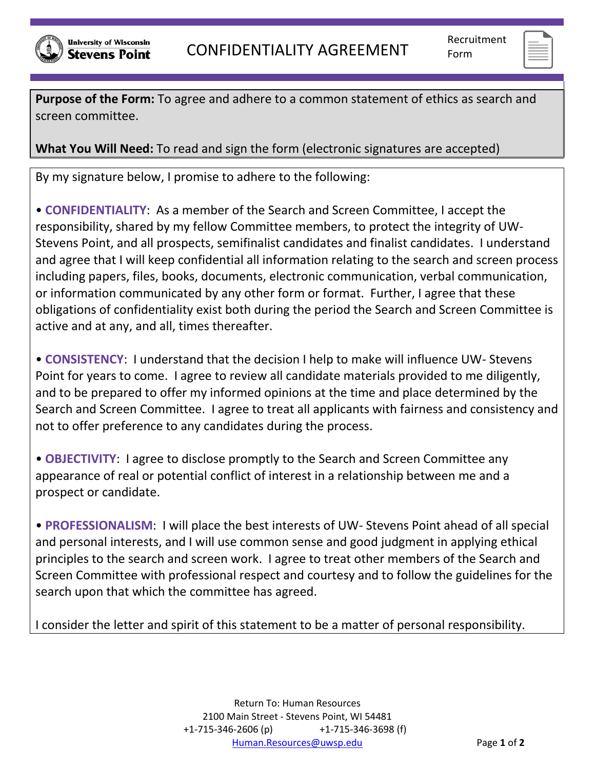

**Purpose of the Form:** To agree and adhere to a common statement of ethics as search and screen committee.

**What You Will Need:** To read and sign the form (electronic signatures are accepted)

By my signature below, I promise to adhere to the following:

• **CONFIDENTIALITY**: As a member of the Search and Screen Committee, I accept the responsibility, shared by my fellow Committee members, to protect the integrity of UW-Stevens Point, and all prospects, semifinalist candidates and finalist candidates. I understand and agree that I will keep confidential all information relating to the search and screen process including papers, files, books, documents, electronic communication, verbal communication, or information communicated by any other form or format. Further, I agree that these obligations of confidentiality exist both during the period the Search and Screen Committee is active and at any, and all, times thereafter.

• **CONSISTENCY**: I understand that the decision I help to make will influence UW- Stevens Point for years to come. I agree to review all candidate materials provided to me diligently, and to be prepared to offer my informed opinions at the time and place determined by the Search and Screen Committee. I agree to treat all applicants with fairness and consistency and not to offer preference to any candidates during the process.

• **OBJECTIVITY**: I agree to disclose promptly to the Search and Screen Committee any appearance of real or potential conflict of interest in a relationship between me and a prospect or candidate.

• **PROFESSIONALISM**: I will place the best interests of UW- Stevens Point ahead of all special and personal interests, and I will use common sense and good judgment in applying ethical principles to the search and screen work. I agree to treat other members of the Search and Screen Committee with professional respect and courtesy and to follow the guidelines for the search upon that which the committee has agreed.

I consider the letter and spirit of this statement to be a matter of personal responsibility.